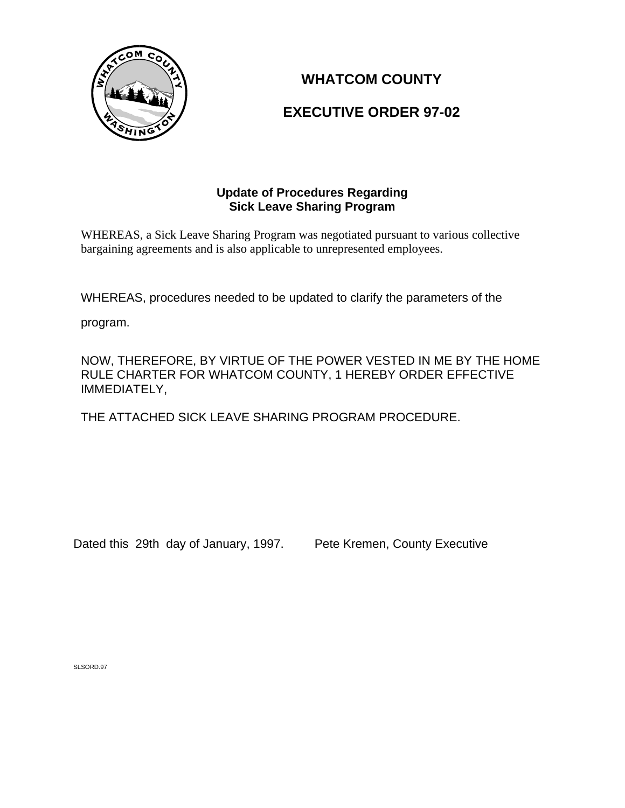

# **WHATCOM COUNTY**

## **EXECUTIVE ORDER 97-02**

## **Update of Procedures Regarding Sick Leave Sharing Program**

WHEREAS, a Sick Leave Sharing Program was negotiated pursuant to various collective bargaining agreements and is also applicable to unrepresented employees.

WHEREAS, procedures needed to be updated to clarify the parameters of the

program.

NOW, THEREFORE, BY VIRTUE OF THE POWER VESTED IN ME BY THE HOME RULE CHARTER FOR WHATCOM COUNTY, 1 HEREBY ORDER EFFECTIVE IMMEDIATELY,

THE ATTACHED SICK LEAVE SHARING PROGRAM PROCEDURE.

Dated this 29th day of January, 1997. Pete Kremen, County Executive

SLSORD.97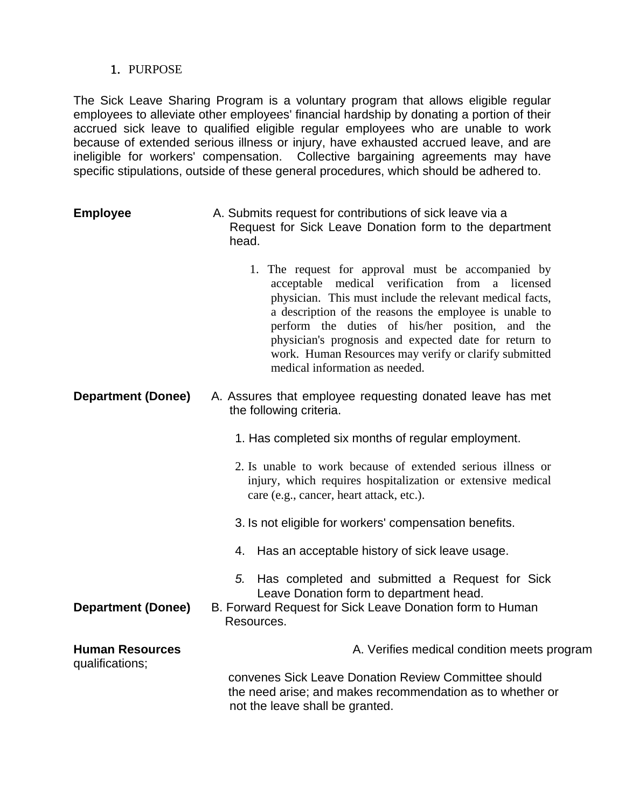#### 1. PURPOSE

The Sick Leave Sharing Program is a voluntary program that allows eligible regular employees to alleviate other employees' financial hardship by donating a portion of their accrued sick leave to qualified eligible regular employees who are unable to work because of extended serious illness or injury, have exhausted accrued leave, and are ineligible for workers' compensation. Collective bargaining agreements may have specific stipulations, outside of these general procedures, which should be adhered to.

- **Employee** A. Submits request for contributions of sick leave via a Request for Sick Leave Donation form to the department head.
	- 1. The request for approval must be accompanied by acceptable medical verification from a licensed physician. This must include the relevant medical facts, a description of the reasons the employee is unable to perform the duties of his/her position, and the physician's prognosis and expected date for return to work. Human Resources may verify or clarify submitted medical information as needed.
- **Department (Donee)** A. Assures that employee requesting donated leave has met the following criteria.
	- 1. Has completed six months of regular employment.
	- 2. Is unable to work because of extended serious illness or injury, which requires hospitalization or extensive medical care (e.g., cancer, heart attack, etc.).
	- 3. Is not eligible for workers' compensation benefits.
	- 4. Has an acceptable history of sick leave usage.
	- *5.* Has completed and submitted a Request for Sick Leave Donation form to department head.
- **Department (Donee)** B. Forward Request for Sick Leave Donation form to Human Resources.

## **Human Resources** A. Verifies medical condition meets program qualifications; convenes Sick Leave Donation Review Committee should the need arise; and makes recommendation as to whether or not the leave shall be granted.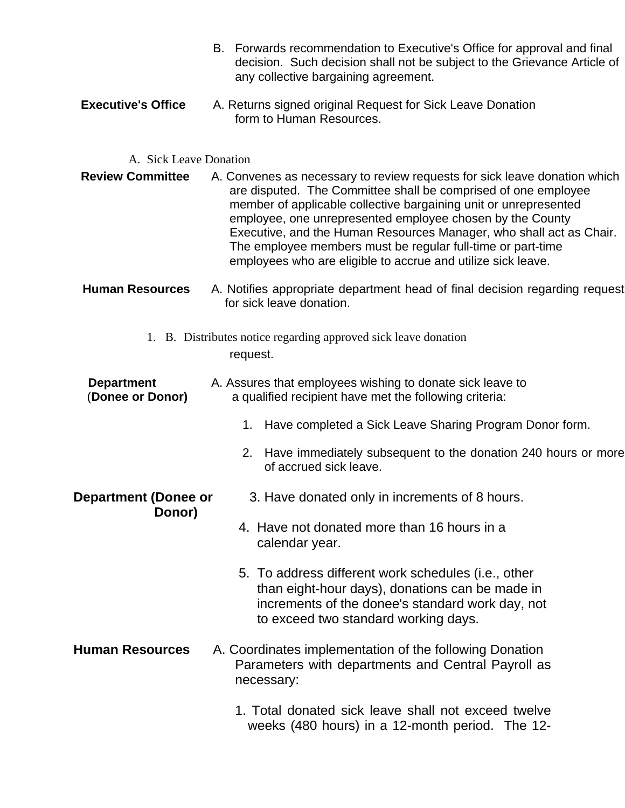- B. Forwards recommendation to Executive's Office for approval and final decision. Such decision shall not be subject to the Grievance Article of any collective bargaining agreement.
- **Executive's Office** A. Returns signed original Request for Sick Leave Donation form to Human Resources.

#### A. Sick Leave Donation

- **Review Committee** A. Convenes as necessary to review requests for sick leave donation which are disputed. The Committee shall be comprised of one employee member of applicable collective bargaining unit or unrepresented employee, one unrepresented employee chosen by the County Executive, and the Human Resources Manager, who shall act as Chair. The employee members must be regular full-time or part-time employees who are eligible to accrue and utilize sick leave.
- **Human Resources** A. Notifies appropriate department head of final decision regarding request for sick leave donation.
	- 1. B. Distributes notice regarding approved sick leave donation request.

## **Department** A. Assures that employees wishing to donate sick leave to (Donee or Donor) a qualified recipient have met the following criteria: a qualified recipient have met the following criteria:

- 1. Have completed a Sick Leave Sharing Program Donor form.
- 2. Have immediately subsequent to the donation 240 hours or more of accrued sick leave.

#### **Department (Donee or** 3. Have donated only in increments of 8 hours. **Donor)**

- 4. Have not donated more than 16 hours in a calendar year.
- 5. To address different work schedules (i.e., other than eight-hour days), donations can be made in increments of the donee's standard work day, not to exceed two standard working days.
- **Human Resources** A. Coordinates implementation of the following Donation Parameters with departments and Central Payroll as necessary:
	- 1. Total donated sick leave shall not exceed twelve weeks (480 hours) in a 12-month period. The 12-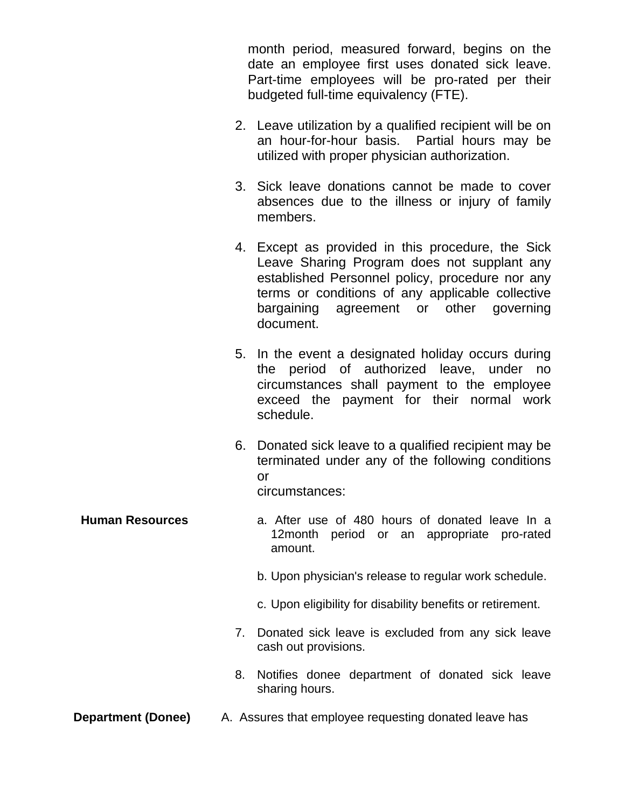month period, measured forward, begins on the date an employee first uses donated sick leave. Part-time employees will be pro-rated per their budgeted full-time equivalency (FTE).

- 2. Leave utilization by a qualified recipient will be on an hour-for-hour basis. Partial hours may be utilized with proper physician authorization.
- 3. Sick leave donations cannot be made to cover absences due to the illness or injury of family members.
- 4. Except as provided in this procedure, the Sick Leave Sharing Program does not supplant any established Personnel policy, procedure nor any terms or conditions of any applicable collective bargaining agreement or other governing document.
- 5. In the event a designated holiday occurs during the period of authorized leave, under no circumstances shall payment to the employee exceed the payment for their normal work schedule.
- 6. Donated sick leave to a qualified recipient may be terminated under any of the following conditions or

circumstances:

- **Human Resources** a. After use of 480 hours of donated leave In a 12month period or an appropriate pro-rated amount.
	- b. Upon physician's release to regular work schedule.
	- c. Upon eligibility for disability benefits or retirement.
	- 7. Donated sick leave is excluded from any sick leave cash out provisions.
	- 8. Notifies donee department of donated sick leave sharing hours.
- **Department (Donee)** A. Assures that employee requesting donated leave has